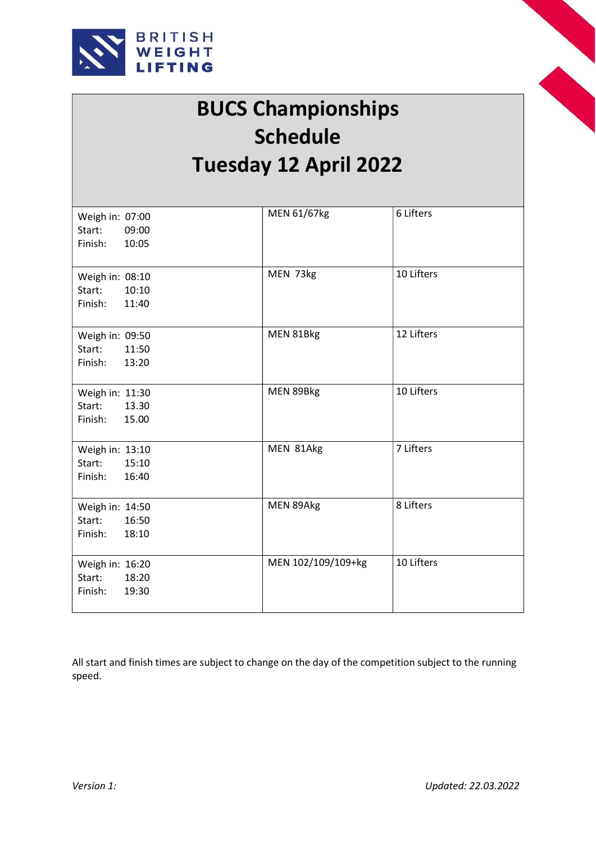



## BUCS Championships Schedule Tuesday 12 April 2022

| Weigh in: 07:00  | MEN 61/67kg        | 6 Lifters  |
|------------------|--------------------|------------|
| Start:<br>09:00  |                    |            |
| Finish:<br>10:05 |                    |            |
|                  |                    |            |
|                  |                    |            |
| Weigh in: 08:10  | MEN 73kg           | 10 Lifters |
| 10:10<br>Start:  |                    |            |
| Finish:<br>11:40 |                    |            |
|                  |                    |            |
| Weigh in: 09:50  | MEN 81Bkg          | 12 Lifters |
|                  |                    |            |
| Start:<br>11:50  |                    |            |
| Finish:<br>13:20 |                    |            |
|                  |                    |            |
| Weigh in: 11:30  | MEN 89Bkg          | 10 Lifters |
| Start:<br>13.30  |                    |            |
| Finish:<br>15.00 |                    |            |
|                  |                    |            |
| Weigh in: 13:10  | MEN 81Akg          | 7 Lifters  |
| Start:<br>15:10  |                    |            |
| Finish:<br>16:40 |                    |            |
|                  |                    |            |
| Weigh in: 14:50  | MEN 89Akg          | 8 Lifters  |
| Start:<br>16:50  |                    |            |
|                  |                    |            |
| Finish:<br>18:10 |                    |            |
|                  |                    |            |
| Weigh in: 16:20  | MEN 102/109/109+kg | 10 Lifters |
| Start:<br>18:20  |                    |            |
| Finish:<br>19:30 |                    |            |
|                  |                    |            |

All start and finish times are subject to change on the day of the competition subject to the running speed.